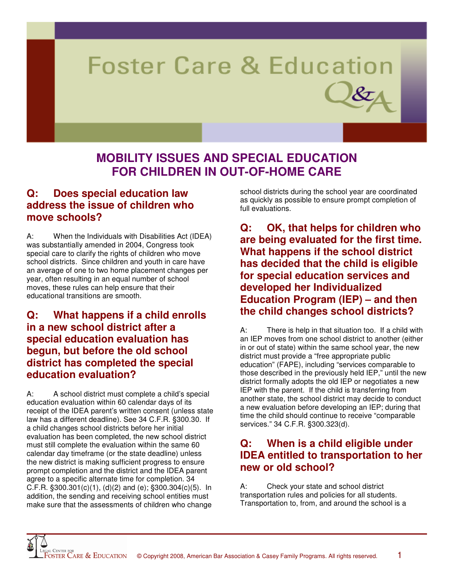# **Foster Care & Education**

# **MOBILITY ISSUES AND SPECIAL EDUCATION FOR CHILDREN IN OUT-OF-HOME CARE**

# **Q: Does special education law address the issue of children who move schools?**

A: When the Individuals with Disabilities Act (IDEA) was substantially amended in 2004, Congress took special care to clarify the rights of children who move school districts. Since children and youth in care have an average of one to two home placement changes per year, often resulting in an equal number of school moves, these rules can help ensure that their educational transitions are smooth.

# **Q: What happens if a child enrolls in a new school district after a special education evaluation has begun, but before the old school district has completed the special education evaluation?**

A: A school district must complete a child's special education evaluation within 60 calendar days of its receipt of the IDEA parent's written consent (unless state law has a different deadline). See 34 C.F.R. §300.30. If a child changes school districts before her initial evaluation has been completed, the new school district must still complete the evaluation within the same 60 calendar day timeframe (or the state deadline) unless the new district is making sufficient progress to ensure prompt completion and the district and the IDEA parent agree to a specific alternate time for completion. 34 C.F.R.  $\S 300.301(c)(1)$ , (d)(2) and (e);  $\S 300.304(c)(5)$ . In addition, the sending and receiving school entities must make sure that the assessments of children who change

school districts during the school year are coordinated as quickly as possible to ensure prompt completion of full evaluations.

**Q: OK, that helps for children who are being evaluated for the first time. What happens if the school district has decided that the child is eligible for special education services and developed her Individualized Education Program (IEP) – and then the child changes school districts?** 

A: There is help in that situation too. If a child with an IEP moves from one school district to another (either in or out of state) within the same school year, the new district must provide a "free appropriate public education" (FAPE), including "services comparable to those described in the previously held IEP," until the new district formally adopts the old IEP or negotiates a new IEP with the parent. If the child is transferring from another state, the school district may decide to conduct a new evaluation before developing an IEP; during that time the child should continue to receive "comparable services." 34 C.F.R. §300.323(d).

# **Q: When is a child eligible under IDEA entitled to transportation to her new or old school?**

A: Check your state and school district transportation rules and policies for all students. Transportation to, from, and around the school is a